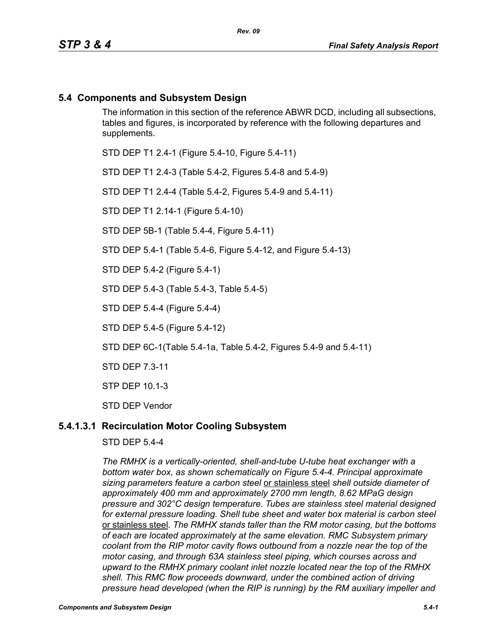# **5.4 Components and Subsystem Design**

The information in this section of the reference ABWR DCD, including all subsections, tables and figures, is incorporated by reference with the following departures and supplements.

STD DEP T1 2.4-1 (Figure 5.4-10, Figure 5.4-11)

STD DEP T1 2.4-3 (Table 5.4-2, Figures 5.4-8 and 5.4-9)

STD DEP T1 2.4-4 (Table 5.4-2, Figures 5.4-9 and 5.4-11)

STD DEP T1 2.14-1 (Figure 5.4-10)

STD DEP 5B-1 (Table 5.4-4, Figure 5.4-11)

STD DEP 5.4-1 (Table 5.4-6, Figure 5.4-12, and Figure 5.4-13)

STD DEP 5.4-2 (Figure 5.4-1)

STD DEP 5.4-3 (Table 5.4-3, Table 5.4-5)

STD DEP 5.4-4 (Figure 5.4-4)

STD DEP 5.4-5 (Figure 5.4-12)

STD DEP 6C-1(Table 5.4-1a, Table 5.4-2, Figures 5.4-9 and 5.4-11)

STD DEP 7.3-11

STP DEP 10.1-3

STD DEP Vendor

### **5.4.1.3.1 Recirculation Motor Cooling Subsystem**

STD DEP 5.4-4

*The RMHX is a vertically-oriented, shell-and-tube U-tube heat exchanger with a bottom water box, as shown schematically on Figure 5.4-4. Principal approximate sizing parameters feature a carbon steel* or stainless steel *shell outside diameter of approximately 400 mm and approximately 2700 mm length, 8.62 MPaG design pressure and 302°C design temperature. Tubes are stainless steel material designed for external pressure loading. Shell tube sheet and water box material is carbon steel*  or stainless steel*. The RMHX stands taller than the RM motor casing, but the bottoms of each are located approximately at the same elevation. RMC Subsystem primary coolant from the RIP motor cavity flows outbound from a nozzle near the top of the motor casing, and through 63A stainless steel piping, which courses across and upward to the RMHX primary coolant inlet nozzle located near the top of the RMHX shell. This RMC flow proceeds downward, under the combined action of driving pressure head developed (when the RIP is running) by the RM auxiliary impeller and*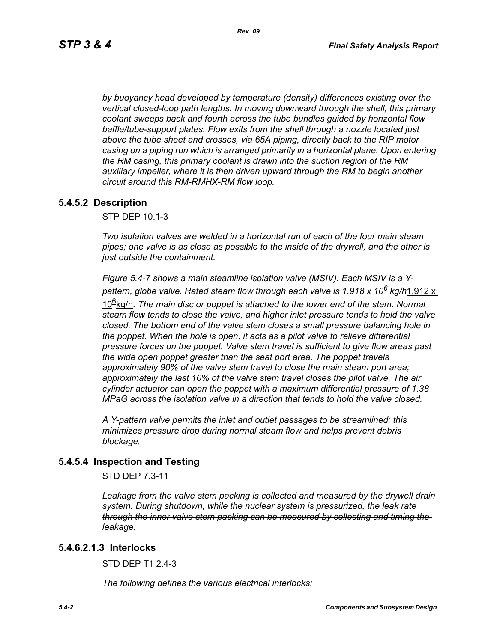*by buoyancy head developed by temperature (density) differences existing over the vertical closed-loop path lengths. In moving downward through the shell, this primary coolant sweeps back and fourth across the tube bundles guided by horizontal flow baffle/tube-support plates. Flow exits from the shell through a nozzle located just above the tube sheet and crosses, via 65A piping, directly back to the RIP motor casing on a piping run which is arranged primarily in a horizontal plane. Upon entering the RM casing, this primary coolant is drawn into the suction region of the RM auxiliary impeller, where it is then driven upward through the RM to begin another circuit around this RM-RMHX-RM flow loop.*

## **5.4.5.2 Description**

STP DEP 10.1-3

*Two isolation valves are welded in a horizontal run of each of the four main steam pipes; one valve is as close as possible to the inside of the drywell, and the other is just outside the containment.* 

*Figure 5.4-7 shows a main steamline isolation valve (MSIV). Each MSIV is a Ypattern, globe valve. Rated steam flow through each valve is 1.918 x 106 kg/h*1.912 x

10<sup>g</sup>kg/h. The main disc or poppet is attached to the lower end of the stem. Normal *steam flow tends to close the valve, and higher inlet pressure tends to hold the valve closed. The bottom end of the valve stem closes a small pressure balancing hole in the poppet. When the hole is open, it acts as a pilot valve to relieve differential pressure forces on the poppet. Valve stem travel is sufficient to give flow areas past the wide open poppet greater than the seat port area. The poppet travels approximately 90% of the valve stem travel to close the main steam port area; approximately the last 10% of the valve stem travel closes the pilot valve. The air cylinder actuator can open the poppet with a maximum differential pressure of 1.38 MPaG across the isolation valve in a direction that tends to hold the valve closed.* 

*A Y-pattern valve permits the inlet and outlet passages to be streamlined; this minimizes pressure drop during normal steam flow and helps prevent debris blockage.*

## **5.4.5.4 Inspection and Testing**

STD DEP 7.3-11

Leakage from the valve stem packing is collected and measured by the drywell drain *system. During shutdown, while the nuclear system is pressurized, the leak rate through the inner valve stem packing can be measured by collecting and timing the leakage.*

### **5.4.6.2.1.3 Interlocks**

STD DFP T1 2 4-3

*The following defines the various electrical interlocks:*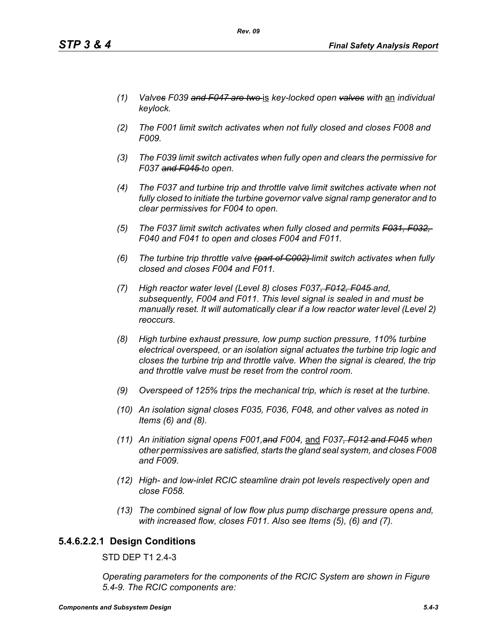- *(1) Valves F039 and F047 are two* is *key-locked open valves with* an *individual keylock.*
- *(2) The F001 limit switch activates when not fully closed and closes F008 and F009.*
- *(3) The F039 limit switch activates when fully open and clears the permissive for F037 and F045 to open.*
- *(4) The F037 and turbine trip and throttle valve limit switches activate when not fully closed to initiate the turbine governor valve signal ramp generator and to clear permissives for F004 to open.*
- *(5) The F037 limit switch activates when fully closed and permits F031, F032, F040 and F041 to open and closes F004 and F011.*
- *(6) The turbine trip throttle valve (part of C002) limit switch activates when fully closed and closes F004 and F011.*
- *(7) High reactor water level (Level 8) closes F037, F012, F045 and, subsequently, F004 and F011. This level signal is sealed in and must be manually reset. It will automatically clear if a low reactor water level (Level 2) reoccurs.*
- *(8) High turbine exhaust pressure, low pump suction pressure, 110% turbine electrical overspeed, or an isolation signal actuates the turbine trip logic and closes the turbine trip and throttle valve. When the signal is cleared, the trip and throttle valve must be reset from the control room.*
- *(9) Overspeed of 125% trips the mechanical trip, which is reset at the turbine.*
- *(10) An isolation signal closes F035, F036, F048, and other valves as noted in Items (6) and (8).*
- *(11) An initiation signal opens F001,and F004,* and *F037, F012 and F045 when other permissives are satisfied, starts the gland seal system, and closes F008 and F009.*
- *(12) High- and low-inlet RCIC steamline drain pot levels respectively open and close F058.*
- *(13) The combined signal of low flow plus pump discharge pressure opens and, with increased flow, closes F011. Also see Items (5), (6) and (7).*

# **5.4.6.2.2.1 Design Conditions**

STD DEP T1 2.4-3

*Operating parameters for the components of the RCIC System are shown in Figure 5.4-9. The RCIC components are:*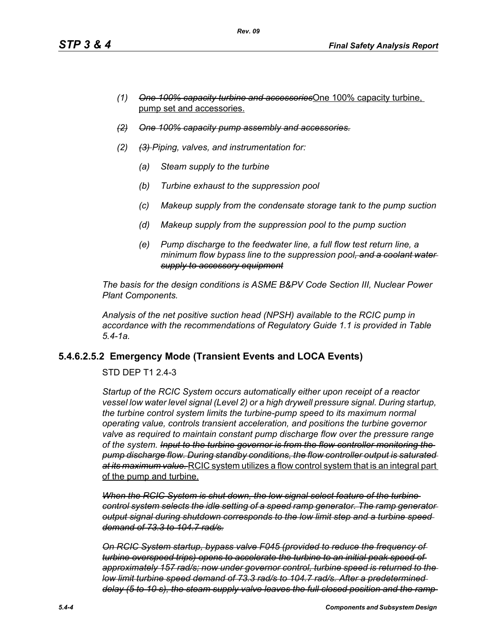- *(1) One 100% capacity turbine and accessories*One 100% capacity turbine, pump set and accessories.
- *(2) One 100% capacity pump assembly and accessories.*
- *(2) (3) Piping, valves, and instrumentation for:*
	- *(a) Steam supply to the turbine*
	- *(b) Turbine exhaust to the suppression pool*
	- *(c) Makeup supply from the condensate storage tank to the pump suction*
	- *(d) Makeup supply from the suppression pool to the pump suction*
	- *(e) Pump discharge to the feedwater line, a full flow test return line, a minimum flow bypass line to the suppression pool, and a coolant water supply to accessory equipment*

*The basis for the design conditions is ASME B&PV Code Section III, Nuclear Power Plant Components.*

*Analysis of the net positive suction head (NPSH) available to the RCIC pump in accordance with the recommendations of Regulatory Guide 1.1 is provided in Table 5.4-1a.*

# **5.4.6.2.5.2 Emergency Mode (Transient Events and LOCA Events)**

STD DEP T1 2.4-3

*Startup of the RCIC System occurs automatically either upon receipt of a reactor vessel low water level signal (Level 2) or a high drywell pressure signal. During startup, the turbine control system limits the turbine-pump speed to its maximum normal operating value, controls transient acceleration, and positions the turbine governor valve as required to maintain constant pump discharge flow over the pressure range of the system. Input to the turbine governor is from the flow controller monitoring the pump discharge flow. During standby conditions, the flow controller output is saturated at its maximum value.* RCIC system utilizes a flow control system that is an integral part of the pump and turbine.

*When the RCIC System is shut down, the low signal select feature of the turbine control system selects the idle setting of a speed ramp generator. The ramp generator output signal during shutdown corresponds to the low limit step and a turbine speed demand of 73.3 to 104.7 rad/s.*

*On RCIC System startup, bypass valve F045 (provided to reduce the frequency of turbine overspeed trips) opens to accelerate the turbine to an initial peak speed of approximately 157 rad/s; now under governor control, turbine speed is returned to the low limit turbine speed demand of 73.3 rad/s to 104.7 rad/s. After a predetermined delay (5 to 10 s), the steam supply valve leaves the full closed position and the ramp*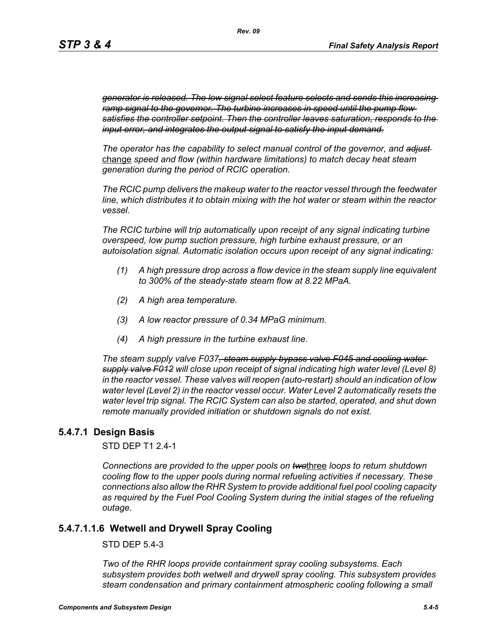*generator is released. The low signal select feature selects and sends this increasing ramp signal to the governor. The turbine increases in speed until the pump flow satisfies the controller setpoint. Then the controller leaves saturation, responds to the input error, and integrates the output signal to satisfy the input demand.*

*The operator has the capability to select manual control of the governor, and adjust*  change *speed and flow (within hardware limitations) to match decay heat steam generation during the period of RCIC operation.*

*The RCIC pump delivers the makeup water to the reactor vessel through the feedwater line, which distributes it to obtain mixing with the hot water or steam within the reactor vessel.*

*The RCIC turbine will trip automatically upon receipt of any signal indicating turbine overspeed, low pump suction pressure, high turbine exhaust pressure, or an autoisolation signal. Automatic isolation occurs upon receipt of any signal indicating:*

- *(1) A high pressure drop across a flow device in the steam supply line equivalent to 300% of the steady-state steam flow at 8.22 MPaA.*
- *(2) A high area temperature.*
- *(3) A low reactor pressure of 0.34 MPaG minimum.*
- *(4) A high pressure in the turbine exhaust line.*

*The steam supply valve F037, steam supply bypass valve F045 and cooling water supply valve F012 will close upon receipt of signal indicating high water level (Level 8) in the reactor vessel. These valves will reopen (auto-restart) should an indication of low water level (Level 2) in the reactor vessel occur. Water Level 2 automatically resets the water level trip signal. The RCIC System can also be started, operated, and shut down remote manually provided initiation or shutdown signals do not exist.*

## **5.4.7.1 Design Basis**

STD DEP T1 2.4-1

*Connections are provided to the upper pools on two*three *loops to return shutdown cooling flow to the upper pools during normal refueling activities if necessary. These connections also allow the RHR System to provide additional fuel pool cooling capacity as required by the Fuel Pool Cooling System during the initial stages of the refueling outage.*

## **5.4.7.1.1.6 Wetwell and Drywell Spray Cooling**

STD DEP 5.4-3

*Two of the RHR loops provide containment spray cooling subsystems. Each subsystem provides both wetwell and drywell spray cooling. This subsystem provides steam condensation and primary containment atmospheric cooling following a small*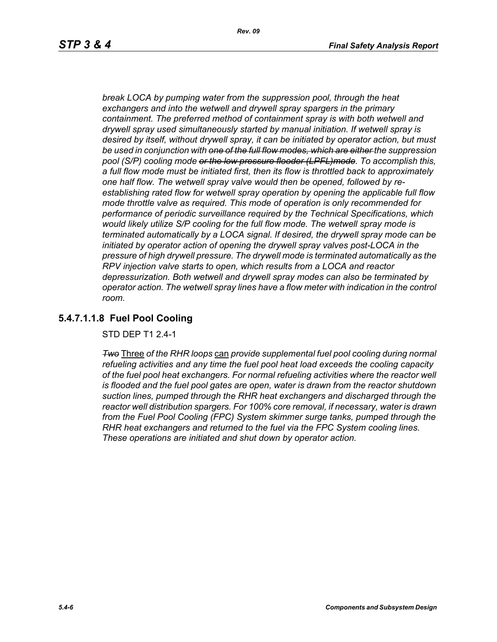*break LOCA by pumping water from the suppression pool, through the heat exchangers and into the wetwell and drywell spray spargers in the primary containment. The preferred method of containment spray is with both wetwell and drywell spray used simultaneously started by manual initiation. If wetwell spray is desired by itself, without drywell spray, it can be initiated by operator action, but must be used in conjunction with one of the full flow modes, which are either the suppression pool (S/P) cooling mode or the low pressure flooder (LPFL)mode. To accomplish this, a full flow mode must be initiated first, then its flow is throttled back to approximately one half flow. The wetwell spray valve would then be opened, followed by reestablishing rated flow for wetwell spray operation by opening the applicable full flow mode throttle valve as required. This mode of operation is only recommended for performance of periodic surveillance required by the Technical Specifications, which would likely utilize S/P cooling for the full flow mode. The wetwell spray mode is terminated automatically by a LOCA signal. If desired, the drywell spray mode can be initiated by operator action of opening the drywell spray valves post-LOCA in the pressure of high drywell pressure. The drywell mode is terminated automatically as the RPV injection valve starts to open, which results from a LOCA and reactor depressurization. Both wetwell and drywell spray modes can also be terminated by operator action. The wetwell spray lines have a flow meter with indication in the control room.*

# **5.4.7.1.1.8 Fuel Pool Cooling**

STD DEP T1 2.4-1

*Two* Three *of the RHR loops* can *provide supplemental fuel pool cooling during normal refueling activities and any time the fuel pool heat load exceeds the cooling capacity of the fuel pool heat exchangers. For normal refueling activities where the reactor well is flooded and the fuel pool gates are open, water is drawn from the reactor shutdown suction lines, pumped through the RHR heat exchangers and discharged through the reactor well distribution spargers. For 100% core removal, if necessary, water is drawn from the Fuel Pool Cooling (FPC) System skimmer surge tanks, pumped through the RHR heat exchangers and returned to the fuel via the FPC System cooling lines. These operations are initiated and shut down by operator action.*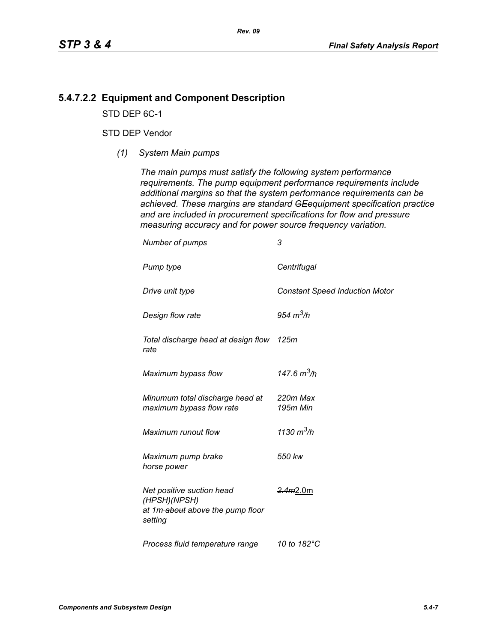# **5.4.7.2.2 Equipment and Component Description**

STD DEP 6C-1

## STD DEP Vendor

*(1) System Main pumps*

*The main pumps must satisfy the following system performance requirements. The pump equipment performance requirements include additional margins so that the system performance requirements can be achieved. These margins are standard GEequipment specification practice and are included in procurement specifications for flow and pressure measuring accuracy and for power source frequency variation.*

| Number of pumps                                                                          | 3                                     |
|------------------------------------------------------------------------------------------|---------------------------------------|
| Pump type                                                                                | Centrifugal                           |
| Drive unit type                                                                          | <b>Constant Speed Induction Motor</b> |
| Design flow rate                                                                         | 954 $m^3/h$                           |
| Total discharge head at design flow 125m<br>rate                                         |                                       |
| Maximum bypass flow                                                                      | 147.6 $m^3/h$                         |
| Minumum total discharge head at<br>maximum bypass flow rate                              | 220m Max<br>195m Min                  |
| Maximum runout flow                                                                      | 1130 $m^3/h$                          |
| Maximum pump brake<br>horse power                                                        | 550 kw                                |
| Net positive suction head<br>(HPSH)(NPSH)<br>at 1m-about above the pump floor<br>setting | <del>2.4m</del> 2.0m                  |
| Process fluid temperature range                                                          | 10 to 182°C                           |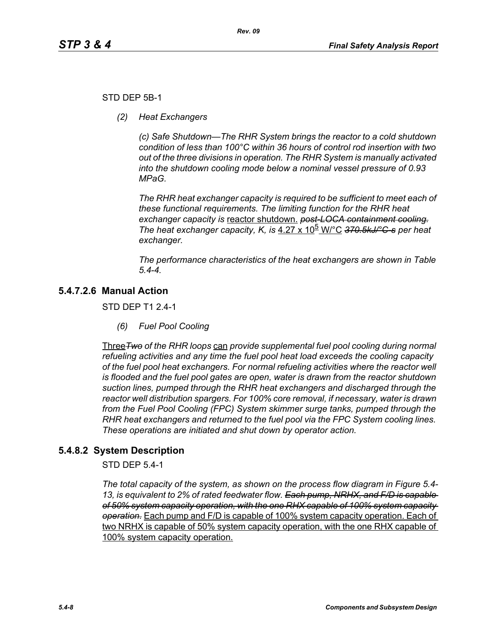## STD DEP 5B-1

*(2) Heat Exchangers*

*(c) Safe Shutdown—The RHR System brings the reactor to a cold shutdown condition of less than 100°C within 36 hours of control rod insertion with two out of the three divisions in operation. The RHR System is manually activated into the shutdown cooling mode below a nominal vessel pressure of 0.93 MPaG.* 

*The RHR heat exchanger capacity is required to be sufficient to meet each of these functional requirements. The limiting function for the RHR heat exchanger capacity is* reactor shutdown. *post-LOCA containment cooling. The heat exchanger capacity, K, is* 4.27 x 10<sup>b</sup> W/°C 370.5kJ/°C-s per heat *exchanger.*

*The performance characteristics of the heat exchangers are shown in Table 5.4-4.*

# **5.4.7.2.6 Manual Action**

STD DEP T1 2.4-1

*(6) Fuel Pool Cooling*

Three*Two of the RHR loops* can *provide supplemental fuel pool cooling during normal refueling activities and any time the fuel pool heat load exceeds the cooling capacity of the fuel pool heat exchangers. For normal refueling activities where the reactor well is flooded and the fuel pool gates are open, water is drawn from the reactor shutdown suction lines, pumped through the RHR heat exchangers and discharged through the reactor well distribution spargers. For 100% core removal, if necessary, water is drawn from the Fuel Pool Cooling (FPC) System skimmer surge tanks, pumped through the RHR heat exchangers and returned to the fuel pool via the FPC System cooling lines. These operations are initiated and shut down by operator action.*

# **5.4.8.2 System Description**

STD DEP 5.4-1

*The total capacity of the system, as shown on the process flow diagram in Figure 5.4- 13, is equivalent to 2% of rated feedwater flow. Each pump, NRHX, and F/D is capable of 50% system capacity operation, with the one RHX capable of 100% system capacity operation.* Each pump and F/D is capable of 100% system capacity operation. Each of two NRHX is capable of 50% system capacity operation, with the one RHX capable of 100% system capacity operation.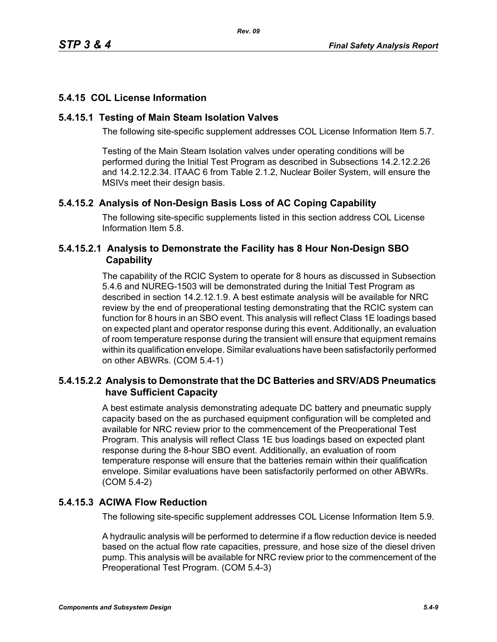# **5.4.15 COL License Information**

## **5.4.15.1 Testing of Main Steam Isolation Valves**

The following site-specific supplement addresses COL License Information Item 5.7.

Testing of the Main Steam Isolation valves under operating conditions will be performed during the Initial Test Program as described in Subsections 14.2.12.2.26 and 14.2.12.2.34. ITAAC 6 from Table 2.1.2, Nuclear Boiler System, will ensure the MSIVs meet their design basis.

# **5.4.15.2 Analysis of Non-Design Basis Loss of AC Coping Capability**

The following site-specific supplements listed in this section address COL License Information Item 5.8.

# **5.4.15.2.1 Analysis to Demonstrate the Facility has 8 Hour Non-Design SBO Capability**

The capability of the RCIC System to operate for 8 hours as discussed in Subsection 5.4.6 and NUREG-1503 will be demonstrated during the Initial Test Program as described in section 14.2.12.1.9. A best estimate analysis will be available for NRC review by the end of preoperational testing demonstrating that the RCIC system can function for 8 hours in an SBO event. This analysis will reflect Class 1E loadings based on expected plant and operator response during this event. Additionally, an evaluation of room temperature response during the transient will ensure that equipment remains within its qualification envelope. Similar evaluations have been satisfactorily performed on other ABWRs. (COM 5.4-1)

# **5.4.15.2.2 Analysis to Demonstrate that the DC Batteries and SRV/ADS Pneumatics have Sufficient Capacity**

A best estimate analysis demonstrating adequate DC battery and pneumatic supply capacity based on the as purchased equipment configuration will be completed and available for NRC review prior to the commencement of the Preoperational Test Program. This analysis will reflect Class 1E bus loadings based on expected plant response during the 8-hour SBO event. Additionally, an evaluation of room temperature response will ensure that the batteries remain within their qualification envelope. Similar evaluations have been satisfactorily performed on other ABWRs. (COM 5.4-2)

# **5.4.15.3 ACIWA Flow Reduction**

The following site-specific supplement addresses COL License Information Item 5.9.

A hydraulic analysis will be performed to determine if a flow reduction device is needed based on the actual flow rate capacities, pressure, and hose size of the diesel driven pump. This analysis will be available for NRC review prior to the commencement of the Preoperational Test Program. (COM 5.4-3)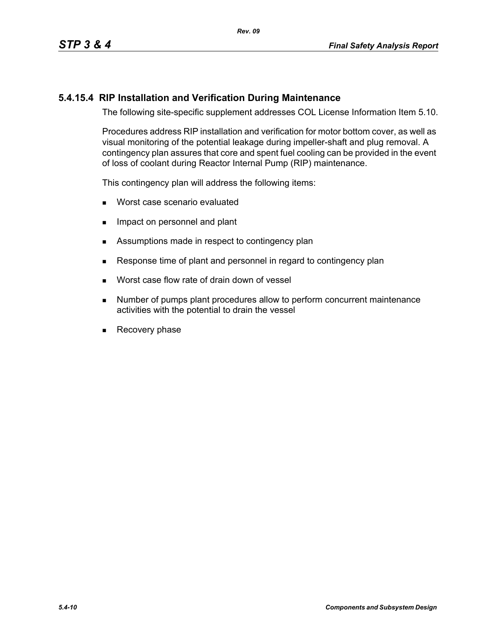# **5.4.15.4 RIP Installation and Verification During Maintenance**

The following site-specific supplement addresses COL License Information Item 5.10.

Procedures address RIP installation and verification for motor bottom cover, as well as visual monitoring of the potential leakage during impeller-shaft and plug removal. A contingency plan assures that core and spent fuel cooling can be provided in the event of loss of coolant during Reactor Internal Pump (RIP) maintenance.

This contingency plan will address the following items:

- **Worst case scenario evaluated**
- **IMPACT ON PERSONAL EXAMPLE 19** Impact on personnel and plant
- Assumptions made in respect to contingency plan
- Response time of plant and personnel in regard to contingency plan
- **Norst case flow rate of drain down of vessel**
- **Number of pumps plant procedures allow to perform concurrent maintenance** activities with the potential to drain the vessel
- Recovery phase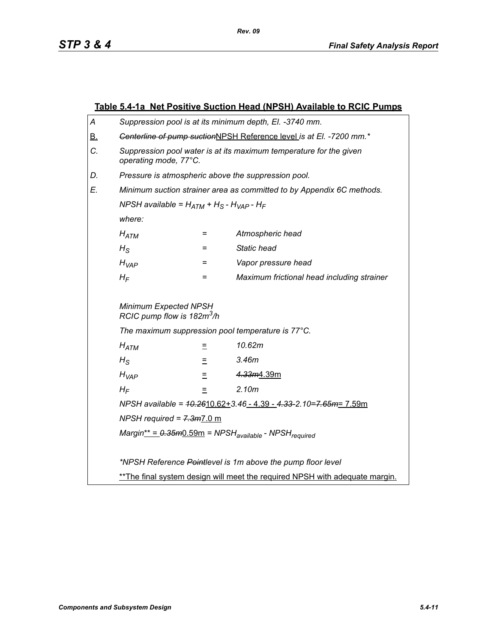|                                 | Table 5.4-1a Net Positive Suction Head (NPSH) Available to RCIC Pumps                       |     |                                            |  |
|---------------------------------|---------------------------------------------------------------------------------------------|-----|--------------------------------------------|--|
| Α                               | Suppression pool is at its minimum depth, El. -3740 mm.                                     |     |                                            |  |
| <u>B.</u>                       | Genterline of pump suctionNPSH Reference level is at El. -7200 mm.*                         |     |                                            |  |
| C.                              | Suppression pool water is at its maximum temperature for the given<br>operating mode, 77°C. |     |                                            |  |
| D.                              | Pressure is atmospheric above the suppression pool.                                         |     |                                            |  |
| E.                              | Minimum suction strainer area as committed to by Appendix 6C methods.                       |     |                                            |  |
|                                 | NPSH available = $H_{ATM}$ + $H_S$ - $H_{VAP}$ - $H_F$                                      |     |                                            |  |
|                                 | where:                                                                                      |     |                                            |  |
|                                 | $H_{ATM}$                                                                                   | $=$ | Atmospheric head                           |  |
|                                 | $H_{\rm S}$                                                                                 | $=$ | Static head                                |  |
|                                 | $H_{VAP}$                                                                                   | =   | Vapor pressure head                        |  |
|                                 | $H_F$                                                                                       | $=$ | Maximum frictional head including strainer |  |
|                                 | Minimum Expected NPSH<br>RCIC pump flow is 182m <sup>3</sup> /h                             |     |                                            |  |
|                                 | The maximum suppression pool temperature is 77°C.                                           |     |                                            |  |
|                                 | 10.62m<br>$H_{ATM}$<br>Ξ                                                                    |     |                                            |  |
| 3.46m<br>$H_{\rm S}$<br>Ξ       |                                                                                             |     |                                            |  |
| 4.33m4.39m<br>$H_{VAP}$<br>Ξ    |                                                                                             |     |                                            |  |
| 2.10 <sub>m</sub><br>$H_F$<br>Ξ |                                                                                             |     |                                            |  |
|                                 | NPSH available = $10.2610.62 + 3.46 - 4.39 - 4.33 - 2.10 = 7.65m = 7.59m$                   |     |                                            |  |
|                                 | NPSH required = $7.3m$ 7.0 m                                                                |     |                                            |  |
|                                 | $Margin^* = 0.35m0.59m = NPSHavailable - NPSHrequired$                                      |     |                                            |  |
|                                 |                                                                                             |     |                                            |  |
|                                 | *NPSH Reference Pointlevel is 1m above the pump floor level                                 |     |                                            |  |
|                                 | ** The final system design will meet the required NPSH with adequate margin.                |     |                                            |  |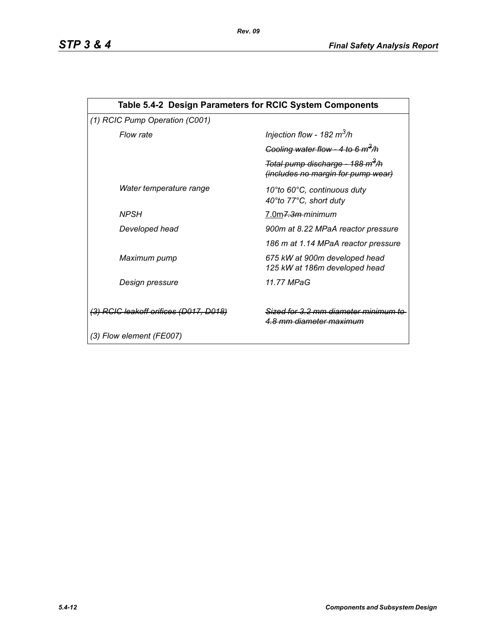| Table 5.4-2 Design Parameters for RCIC System Components |                                                                                           |  |  |  |
|----------------------------------------------------------|-------------------------------------------------------------------------------------------|--|--|--|
| (1) RCIC Pump Operation (C001)                           |                                                                                           |  |  |  |
| Flow rate                                                | Injection flow - 182 $m^3/h$                                                              |  |  |  |
|                                                          | Cooling water flow - 4 to 6 $m^3/h$                                                       |  |  |  |
|                                                          | Total pump discharge - 188 m <sup>3</sup> /h<br><i>(includes no margin for pump wear)</i> |  |  |  |
| Water temperature range                                  | 10°to 60°C, continuous duty<br>40°to 77°C, short duty                                     |  |  |  |
| <b>NPSH</b>                                              | 7.0m <del>7.3m-</del> minimum                                                             |  |  |  |
| Developed head                                           | 900m at 8.22 MPaA reactor pressure                                                        |  |  |  |
|                                                          | 186 m at 1.14 MPaA reactor pressure                                                       |  |  |  |
| Maximum pump                                             | 675 kW at 900m developed head<br>125 kW at 186m developed head                            |  |  |  |
| Design pressure                                          | 11.77 MPaG                                                                                |  |  |  |
| (3) RCIC leakoff orifices (D017, D018)                   | Sized for 3.2 mm diameter minimum<br><u>4.8 mm diameter maximum</u>                       |  |  |  |
| (3) Flow element (FE007)                                 |                                                                                           |  |  |  |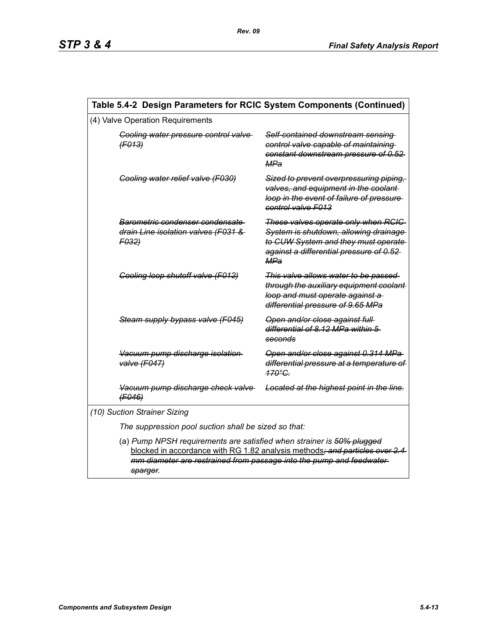| Table 5.4-2 Design Parameters for RCIC System Components (Continued) |                                                                                                                                                                                                                                          |                                                                                                                                                                               |  |  |
|----------------------------------------------------------------------|------------------------------------------------------------------------------------------------------------------------------------------------------------------------------------------------------------------------------------------|-------------------------------------------------------------------------------------------------------------------------------------------------------------------------------|--|--|
| (4) Valve Operation Requirements                                     |                                                                                                                                                                                                                                          |                                                                                                                                                                               |  |  |
|                                                                      | Cooling water pressure control valve<br>(F013)                                                                                                                                                                                           | Self-contained downstream sensing<br>control valve capable of maintaining<br>constant downstream pressure of 0.52<br>MPa                                                      |  |  |
|                                                                      | Cooling water relief valve (F030)                                                                                                                                                                                                        | Sized to prevent overpressuring piping,<br>valves, and equipment in the coolant-<br>loop in the event of failure of pressure-<br>control valve F013                           |  |  |
|                                                                      | Barometric condenser condensate<br>drain Line isolation valves (F031 &<br>F032)                                                                                                                                                          | These valves operate only when RCIC<br>System is shutdown, allowing drainage<br>to CUW System and they must operate<br>against a differential pressure of 0.52-<br><b>MPa</b> |  |  |
|                                                                      | Cooling loop shutoff valve (F012)                                                                                                                                                                                                        | This valve allows water to be passed<br>through the auxiliary equipment coolant-<br>loop and must operate against a<br>differential pressure of 9.65 MPa                      |  |  |
|                                                                      | Steam supply bypass valve (F045)                                                                                                                                                                                                         | Open and/or close against full-<br>differential of 8.12 MPa within 5<br>seconds                                                                                               |  |  |
|                                                                      | Vacuum pump discharge isolation<br>valve (F047)                                                                                                                                                                                          | Open and/or close against 0.314 MPa<br>differential pressure at a temperature of<br>$470^{\circ}$ C.                                                                          |  |  |
|                                                                      | Vacuum pump discharge check valve<br>(F046)                                                                                                                                                                                              | Located at the highest point in the line.                                                                                                                                     |  |  |
| (10) Suction Strainer Sizing                                         |                                                                                                                                                                                                                                          |                                                                                                                                                                               |  |  |
| The suppression pool suction shall be sized so that:                 |                                                                                                                                                                                                                                          |                                                                                                                                                                               |  |  |
|                                                                      | (a) Pump NPSH requirements are satisfied when strainer is 50% plugged<br>blocked in accordance with RG 1.82 analysis methods; and particles over 2.4<br>mm diameter are restrained from passage into the pump and feedwater-<br>sparger. |                                                                                                                                                                               |  |  |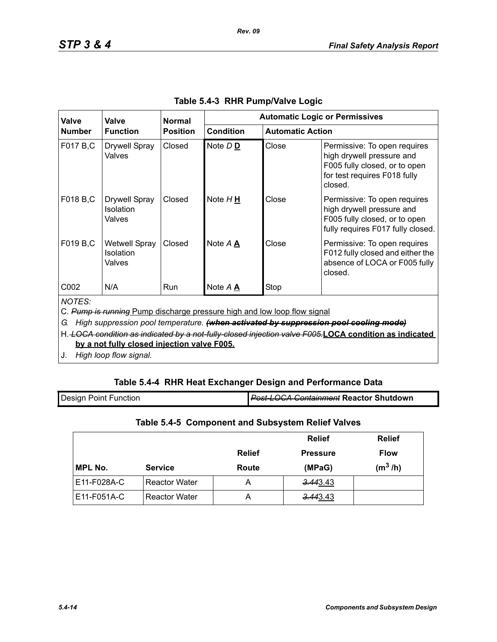| Valve                                                                                                                                                                                                                                                                                                                                           | Valve<br><b>Function</b>                           | <b>Normal</b><br><b>Position</b> | <b>Automatic Logic or Permissives</b> |                         |                                                                                                                                       |
|-------------------------------------------------------------------------------------------------------------------------------------------------------------------------------------------------------------------------------------------------------------------------------------------------------------------------------------------------|----------------------------------------------------|----------------------------------|---------------------------------------|-------------------------|---------------------------------------------------------------------------------------------------------------------------------------|
| <b>Number</b>                                                                                                                                                                                                                                                                                                                                   |                                                    |                                  | <b>Condition</b>                      | <b>Automatic Action</b> |                                                                                                                                       |
| F017 B,C                                                                                                                                                                                                                                                                                                                                        | <b>Drywell Spray</b><br>Valves                     | Closed                           | Note D <sub>D</sub>                   | Close                   | Permissive: To open requires<br>high drywell pressure and<br>F005 fully closed, or to open<br>for test requires F018 fully<br>closed. |
| F018 B,C                                                                                                                                                                                                                                                                                                                                        | <b>Drywell Spray</b><br>Isolation<br>Valves        | Closed                           | Note $H \underline{H}$                | Close                   | Permissive: To open requires<br>high drywell pressure and<br>F005 fully closed, or to open<br>fully requires F017 fully closed.       |
| F019 B,C                                                                                                                                                                                                                                                                                                                                        | <b>Wetwell Spray</b><br><b>Isolation</b><br>Valves | Closed                           | Note A A                              | Close                   | Permissive: To open requires<br>F012 fully closed and either the<br>absence of LOCA or F005 fully<br>closed.                          |
| C <sub>0</sub> 02                                                                                                                                                                                                                                                                                                                               | N/A                                                | <b>Run</b>                       | Note A A                              | Stop                    |                                                                                                                                       |
| <b>NOTES:</b><br>C. Pump is running Pump discharge pressure high and low loop flow signal<br>High suppression pool temperature. (when activated by suppression pool cooling mode)<br>G.<br>H. LOCA condition as indicated by a not-fully-closed injection valve F005.LOCA condition as indicated<br>by a not fully closed injection valve F005. |                                                    |                                  |                                       |                         |                                                                                                                                       |

*Rev. 09*

J. *High loop flow signal.*

## **Table 5.4-4 RHR Heat Exchanger Design and Performance Data**

| <b>Design Point Function</b> | <b>Post-LOCA Containment Reactor Shutdown</b> |
|------------------------------|-----------------------------------------------|
|                              |                                               |

# **Table 5.4-5 Component and Subsystem Relief Valves**

|                |                      |               | <b>Relief</b>   | <b>Relief</b> |
|----------------|----------------------|---------------|-----------------|---------------|
|                |                      | <b>Relief</b> | <b>Pressure</b> | <b>Flow</b>   |
| <b>MPL No.</b> | <b>Service</b>       | Route         | (MPaG)          | $(m^3/h)$     |
| E11-F028A-C    | <b>Reactor Water</b> | А             | 3.443.43        |               |
| E11-F051A-C    | <b>Reactor Water</b> | А             | 3.443.43        |               |

1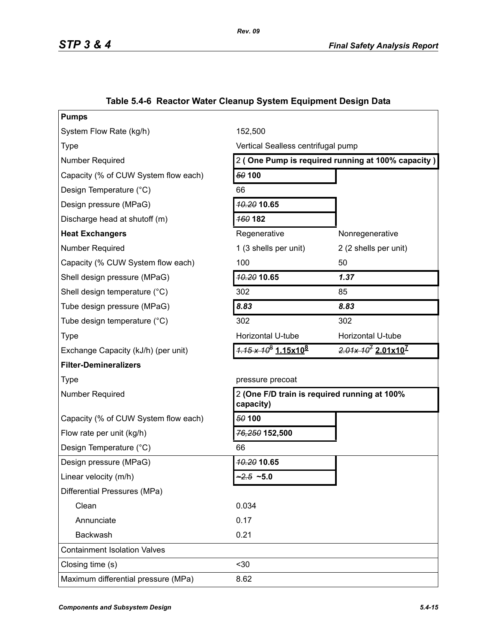| <b>Pumps</b>                         |                                         |                                                   |  |
|--------------------------------------|-----------------------------------------|---------------------------------------------------|--|
| System Flow Rate (kg/h)              | 152,500                                 |                                                   |  |
| <b>Type</b>                          | Vertical Sealless centrifugal pump      |                                                   |  |
| Number Required                      |                                         | 2 (One Pump is required running at 100% capacity) |  |
| Capacity (% of CUW System flow each) | 50 100                                  |                                                   |  |
| Design Temperature (°C)              | 66                                      |                                                   |  |
| Design pressure (MPaG)               | <b>40.20 10.65</b>                      |                                                   |  |
| Discharge head at shutoff (m)        | <b>160 182</b>                          |                                                   |  |
| <b>Heat Exchangers</b>               | Regenerative                            | Nonregenerative                                   |  |
| Number Required                      | 1 (3 shells per unit)                   | 2 (2 shells per unit)                             |  |
| Capacity (% CUW System flow each)    | 100                                     | 50                                                |  |
| Shell design pressure (MPaG)         | 10.20 10.65                             | 1.37                                              |  |
| Shell design temperature (°C)        | 302                                     | 85                                                |  |
| Tube design pressure (MPaG)          | 8.83                                    | 8.83                                              |  |
| Tube design temperature (°C)         | 302                                     | 302                                               |  |
| <b>Type</b>                          | Horizontal U-tube                       | Horizontal U-tube                                 |  |
| Exchange Capacity (kJ/h) (per unit)  | $4.15 \times 10^8$ 1.15x10 <sup>8</sup> | $2.01x 107 2.01x107$                              |  |
| <b>Filter-Demineralizers</b>         |                                         |                                                   |  |
| <b>Type</b>                          | pressure precoat                        |                                                   |  |
| <b>Number Required</b>               | capacity)                               | 2 (One F/D train is required running at 100%      |  |
| Capacity (% of CUW System flow each) | 50 100                                  |                                                   |  |
| Flow rate per unit (kg/h)            | 76,250 152,500                          |                                                   |  |
| Design Temperature (°C)              | 66                                      |                                                   |  |
| Design pressure (MPaG)               | <b>10.20 10.65</b>                      |                                                   |  |
| Linear velocity (m/h)                | $2.5 - 5.0$                             |                                                   |  |
| Differential Pressures (MPa)         |                                         |                                                   |  |
| Clean                                | 0.034                                   |                                                   |  |
| Annunciate                           | 0.17                                    |                                                   |  |
| Backwash                             | 0.21                                    |                                                   |  |
| <b>Containment Isolation Valves</b>  |                                         |                                                   |  |
| Closing time (s)                     | $30$                                    |                                                   |  |
| Maximum differential pressure (MPa)  | 8.62                                    |                                                   |  |
|                                      |                                         |                                                   |  |

# **Table 5.4-6 Reactor Water Cleanup System Equipment Design Data**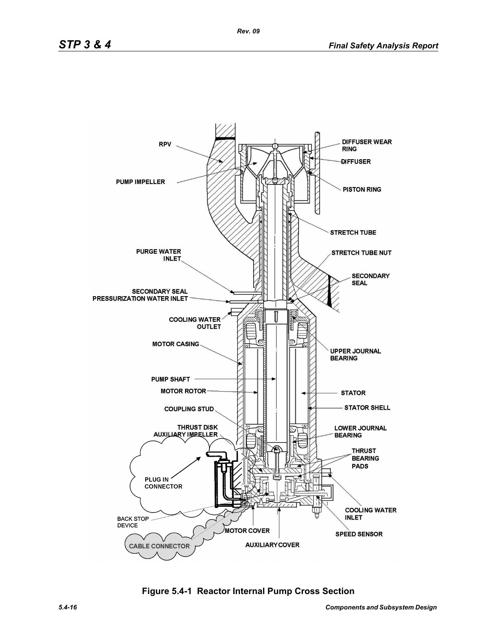

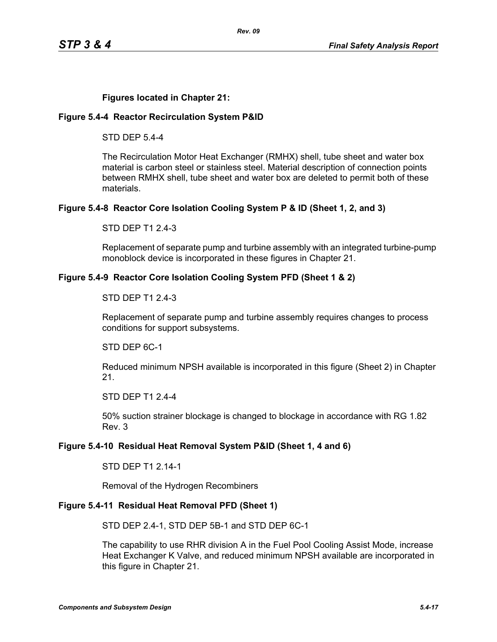## **Figures located in Chapter 21:**

### **Figure 5.4-4 Reactor Recirculation System P&ID**

STD DEP 5.4-4

The Recirculation Motor Heat Exchanger (RMHX) shell, tube sheet and water box material is carbon steel or stainless steel. Material description of connection points between RMHX shell, tube sheet and water box are deleted to permit both of these materials.

## **Figure 5.4-8 Reactor Core Isolation Cooling System P & ID (Sheet 1, 2, and 3)**

STD DEP T1 2.4-3

Replacement of separate pump and turbine assembly with an integrated turbine-pump monoblock device is incorporated in these figures in Chapter 21.

### **Figure 5.4-9 Reactor Core Isolation Cooling System PFD (Sheet 1 & 2)**

### STD DEP T1 2.4-3

Replacement of separate pump and turbine assembly requires changes to process conditions for support subsystems.

STD DEP 6C-1

Reduced minimum NPSH available is incorporated in this figure (Sheet 2) in Chapter 21.

STD DEP T1 2.4-4

50% suction strainer blockage is changed to blockage in accordance with RG 1.82 Rev. 3

## **Figure 5.4-10 Residual Heat Removal System P&ID (Sheet 1, 4 and 6)**

STD DEP T1 2.14-1

Removal of the Hydrogen Recombiners

## **Figure 5.4-11 Residual Heat Removal PFD (Sheet 1)**

STD DEP 2.4-1, STD DEP 5B-1 and STD DEP 6C-1

The capability to use RHR division A in the Fuel Pool Cooling Assist Mode, increase Heat Exchanger K Valve, and reduced minimum NPSH available are incorporated in this figure in Chapter 21.